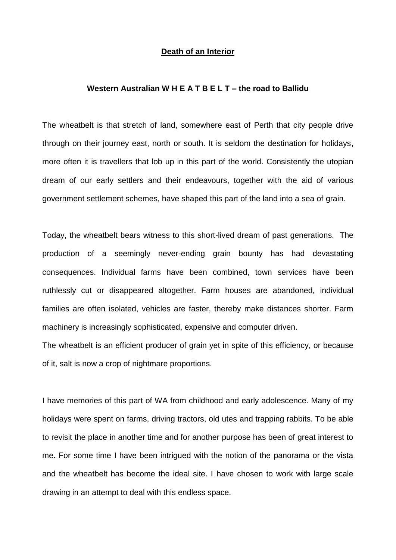### **Death of an Interior**

#### **Western Australian W H E A T B E L T – the road to Ballidu**

The wheatbelt is that stretch of land, somewhere east of Perth that city people drive through on their journey east, north or south. It is seldom the destination for holidays, more often it is travellers that lob up in this part of the world. Consistently the utopian dream of our early settlers and their endeavours, together with the aid of various government settlement schemes, have shaped this part of the land into a sea of grain.

Today, the wheatbelt bears witness to this short-lived dream of past generations. The production of a seemingly never-ending grain bounty has had devastating consequences. Individual farms have been combined, town services have been ruthlessly cut or disappeared altogether. Farm houses are abandoned, individual families are often isolated, vehicles are faster, thereby make distances shorter. Farm machinery is increasingly sophisticated, expensive and computer driven.

The wheatbelt is an efficient producer of grain yet in spite of this efficiency, or because of it, salt is now a crop of nightmare proportions.

I have memories of this part of WA from childhood and early adolescence. Many of my holidays were spent on farms, driving tractors, old utes and trapping rabbits. To be able to revisit the place in another time and for another purpose has been of great interest to me. For some time I have been intrigued with the notion of the panorama or the vista and the wheatbelt has become the ideal site. I have chosen to work with large scale drawing in an attempt to deal with this endless space.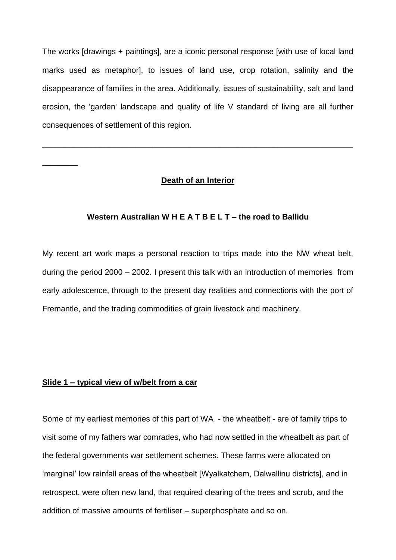The works [drawings + paintings], are a iconic personal response [with use of local land marks used as metaphor], to issues of land use, crop rotation, salinity and the disappearance of families in the area. Additionally, issues of sustainability, salt and land erosion, the 'garden' landscape and quality of life V standard of living are all further consequences of settlement of this region.

## **Death of an Interior**

\_\_\_\_\_\_\_\_\_\_\_\_\_\_\_\_\_\_\_\_\_\_\_\_\_\_\_\_\_\_\_\_\_\_\_\_\_\_\_\_\_\_\_\_\_\_\_\_\_\_\_\_\_\_\_\_\_\_\_\_\_\_\_\_\_\_\_\_\_\_

## **Western Australian W H E A T B E L T – the road to Ballidu**

My recent art work maps a personal reaction to trips made into the NW wheat belt, during the period 2000 – 2002. I present this talk with an introduction of memories from early adolescence, through to the present day realities and connections with the port of Fremantle, and the trading commodities of grain livestock and machinery.

## **Slide 1 – typical view of w/belt from a car**

\_\_\_\_\_\_\_\_

Some of my earliest memories of this part of WA - the wheatbelt - are of family trips to visit some of my fathers war comrades, who had now settled in the wheatbelt as part of the federal governments war settlement schemes. These farms were allocated on 'marginal' low rainfall areas of the wheatbelt [Wyalkatchem, Dalwallinu districts], and in retrospect, were often new land, that required clearing of the trees and scrub, and the addition of massive amounts of fertiliser – superphosphate and so on.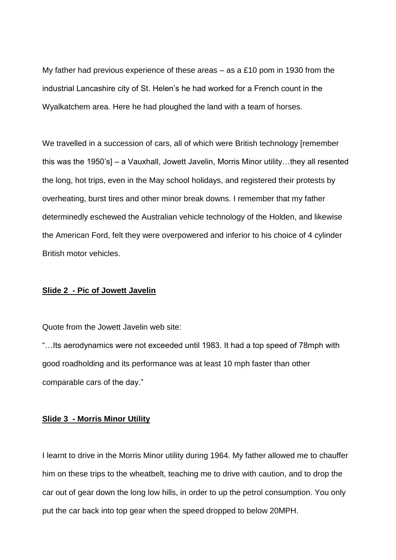My father had previous experience of these areas – as a £10 pom in 1930 from the industrial Lancashire city of St. Helen's he had worked for a French count in the Wyalkatchem area. Here he had ploughed the land with a team of horses.

We travelled in a succession of cars, all of which were British technology [remember] this was the 1950's] – a Vauxhall, Jowett Javelin, Morris Minor utility…they all resented the long, hot trips, even in the May school holidays, and registered their protests by overheating, burst tires and other minor break downs. I remember that my father determinedly eschewed the Australian vehicle technology of the Holden, and likewise the American Ford, felt they were overpowered and inferior to his choice of 4 cylinder British motor vehicles.

#### **Slide 2 - Pic of Jowett Javelin**

Quote from the Jowett Javelin web site:

"…Its aerodynamics were not exceeded until 1983. It had a top speed of 78mph with good roadholding and its performance was at least 10 mph faster than other comparable cars of the day."

## **Slide 3 - Morris Minor Utility**

I learnt to drive in the Morris Minor utility during 1964. My father allowed me to chauffer him on these trips to the wheatbelt, teaching me to drive with caution, and to drop the car out of gear down the long low hills, in order to up the petrol consumption. You only put the car back into top gear when the speed dropped to below 20MPH.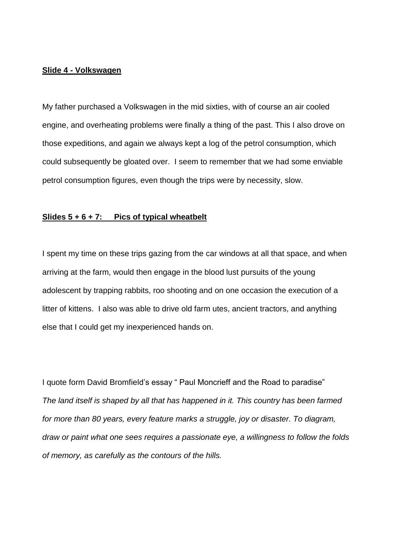## **Slide 4 - Volkswagen**

My father purchased a Volkswagen in the mid sixties, with of course an air cooled engine, and overheating problems were finally a thing of the past. This I also drove on those expeditions, and again we always kept a log of the petrol consumption, which could subsequently be gloated over. I seem to remember that we had some enviable petrol consumption figures, even though the trips were by necessity, slow.

## **Slides 5 + 6 + 7: Pics of typical wheatbelt**

I spent my time on these trips gazing from the car windows at all that space, and when arriving at the farm, would then engage in the blood lust pursuits of the young adolescent by trapping rabbits, roo shooting and on one occasion the execution of a litter of kittens. I also was able to drive old farm utes, ancient tractors, and anything else that I could get my inexperienced hands on.

I quote form David Bromfield's essay " Paul Moncrieff and the Road to paradise" *The land itself is shaped by all that has happened in it. This country has been farmed for more than 80 years, every feature marks a struggle, joy or disaster. To diagram, draw or paint what one sees requires a passionate eye, a willingness to follow the folds of memory, as carefully as the contours of the hills.*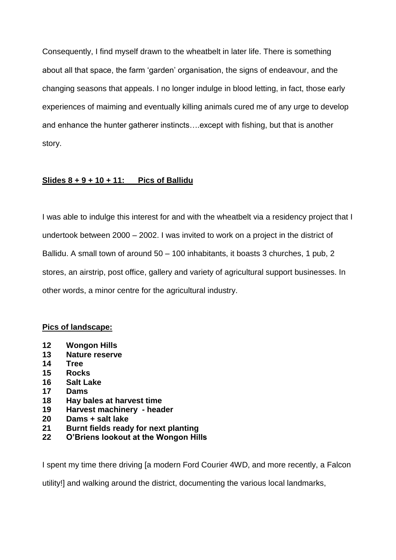Consequently, I find myself drawn to the wheatbelt in later life. There is something about all that space, the farm 'garden' organisation, the signs of endeavour, and the changing seasons that appeals. I no longer indulge in blood letting, in fact, those early experiences of maiming and eventually killing animals cured me of any urge to develop and enhance the hunter gatherer instincts….except with fishing, but that is another story.

# **Slides 8 + 9 + 10 + 11: Pics of Ballidu**

I was able to indulge this interest for and with the wheatbelt via a residency project that I undertook between 2000 – 2002. I was invited to work on a project in the district of Ballidu. A small town of around 50 – 100 inhabitants, it boasts 3 churches, 1 pub, 2 stores, an airstrip, post office, gallery and variety of agricultural support businesses. In other words, a minor centre for the agricultural industry.

# **Pics of landscape:**

- **12 Wongon Hills**
- **13 Nature reserve**
- **14 Tree**
- **15 Rocks**
- **16 Salt Lake**
- **17 Dams**
- **18 Hay bales at harvest time**
- **19 Harvest machinery - header**
- **20 Dams + salt lake**
- **21 Burnt fields ready for next planting**
- **22 O'Briens lookout at the Wongon Hills**

I spent my time there driving [a modern Ford Courier 4WD, and more recently, a Falcon

utility!] and walking around the district, documenting the various local landmarks,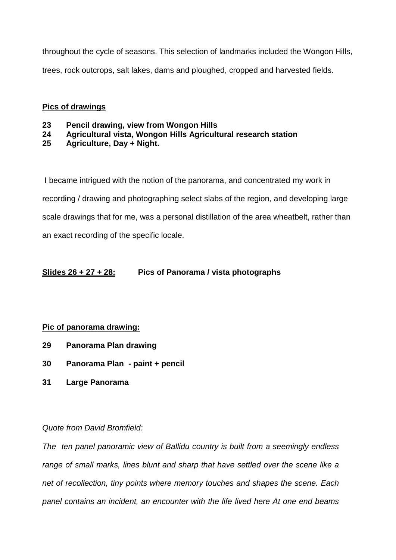throughout the cycle of seasons. This selection of landmarks included the Wongon Hills, trees, rock outcrops, salt lakes, dams and ploughed, cropped and harvested fields.

# **Pics of drawings**

- **23 Pencil drawing, view from Wongon Hills**
- **24 Agricultural vista, Wongon Hills Agricultural research station**
- **25 Agriculture, Day + Night.**

I became intrigued with the notion of the panorama, and concentrated my work in recording / drawing and photographing select slabs of the region, and developing large scale drawings that for me, was a personal distillation of the area wheatbelt, rather than an exact recording of the specific locale.

# **Slides 26 + 27 + 28: Pics of Panorama / vista photographs**

## **Pic of panorama drawing:**

- **29 Panorama Plan drawing**
- **30 Panorama Plan - paint + pencil**
- **31 Large Panorama**

# *Quote from David Bromfield:*

*The ten panel panoramic view of Ballidu country is built from a seemingly endless range of small marks, lines blunt and sharp that have settled over the scene like a net of recollection, tiny points where memory touches and shapes the scene. Each panel contains an incident, an encounter with the life lived here At one end beams*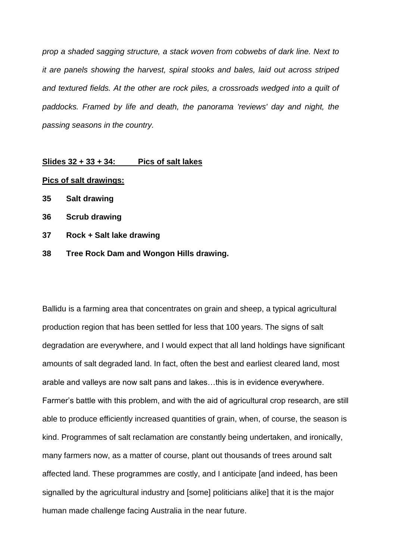*prop a shaded sagging structure, a stack woven from cobwebs of dark line. Next to it are panels showing the harvest, spiral stooks and bales, laid out across striped and textured fields. At the other are rock piles, a crossroads wedged into a quilt of paddocks. Framed by life and death, the panorama 'reviews' day and night, the passing seasons in the country.*

#### **Slides 32 + 33 + 34: Pics of salt lakes**

#### **Pics of salt drawings:**

- **35 Salt drawing**
- **36 Scrub drawing**
- **37 Rock + Salt lake drawing**
- **38 Tree Rock Dam and Wongon Hills drawing.**

Ballidu is a farming area that concentrates on grain and sheep, a typical agricultural production region that has been settled for less that 100 years. The signs of salt degradation are everywhere, and I would expect that all land holdings have significant amounts of salt degraded land. In fact, often the best and earliest cleared land, most arable and valleys are now salt pans and lakes…this is in evidence everywhere. Farmer's battle with this problem, and with the aid of agricultural crop research, are still able to produce efficiently increased quantities of grain, when, of course, the season is kind. Programmes of salt reclamation are constantly being undertaken, and ironically, many farmers now, as a matter of course, plant out thousands of trees around salt affected land. These programmes are costly, and I anticipate [and indeed, has been signalled by the agricultural industry and [some] politicians alike] that it is the major human made challenge facing Australia in the near future.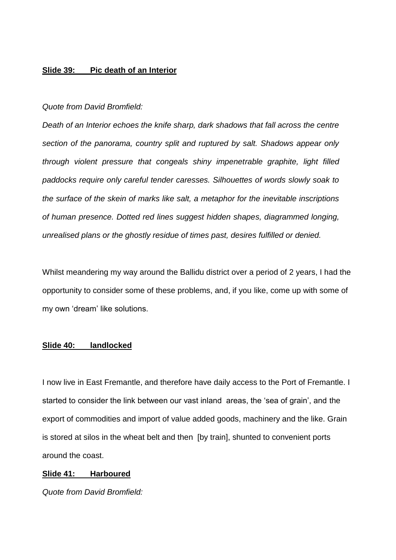## **Slide 39: Pic death of an Interior**

#### *Quote from David Bromfield:*

*Death of an Interior echoes the knife sharp, dark shadows that fall across the centre section of the panorama, country split and ruptured by salt. Shadows appear only through violent pressure that congeals shiny impenetrable graphite, light filled paddocks require only careful tender caresses. Silhouettes of words slowly soak to the surface of the skein of marks like salt, a metaphor for the inevitable inscriptions of human presence. Dotted red lines suggest hidden shapes, diagrammed longing, unrealised plans or the ghostly residue of times past, desires fulfilled or denied.*

Whilst meandering my way around the Ballidu district over a period of 2 years, I had the opportunity to consider some of these problems, and, if you like, come up with some of my own 'dream' like solutions.

#### **Slide 40: landlocked**

I now live in East Fremantle, and therefore have daily access to the Port of Fremantle. I started to consider the link between our vast inland areas, the 'sea of grain', and the export of commodities and import of value added goods, machinery and the like. Grain is stored at silos in the wheat belt and then [by train], shunted to convenient ports around the coast.

## **Slide 41: Harboured**

*Quote from David Bromfield:*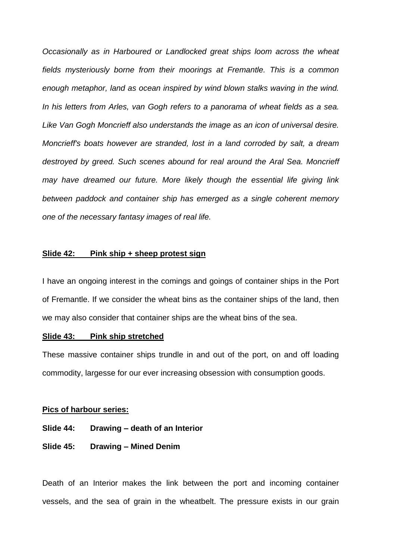*Occasionally as in Harboured or Landlocked great ships loom across the wheat fields mysteriously borne from their moorings at Fremantle. This is a common enough metaphor, land as ocean inspired by wind blown stalks waving in the wind. In his letters from Arles, van Gogh refers to a panorama of wheat fields as a sea. Like Van Gogh Moncrieff also understands the image as an icon of universal desire. Moncrieff's boats however are stranded, lost in a land corroded by salt, a dream destroyed by greed. Such scenes abound for real around the Aral Sea. Moncrieff may have dreamed our future. More likely though the essential life giving link between paddock and container ship has emerged as a single coherent memory one of the necessary fantasy images of real life.*

#### **Slide 42: Pink ship + sheep protest sign**

I have an ongoing interest in the comings and goings of container ships in the Port of Fremantle. If we consider the wheat bins as the container ships of the land, then we may also consider that container ships are the wheat bins of the sea.

#### **Slide 43: Pink ship stretched**

These massive container ships trundle in and out of the port, on and off loading commodity, largesse for our ever increasing obsession with consumption goods.

#### **Pics of harbour series:**

## **Slide 44: Drawing – death of an Interior**

#### **Slide 45: Drawing – Mined Denim**

Death of an Interior makes the link between the port and incoming container vessels, and the sea of grain in the wheatbelt. The pressure exists in our grain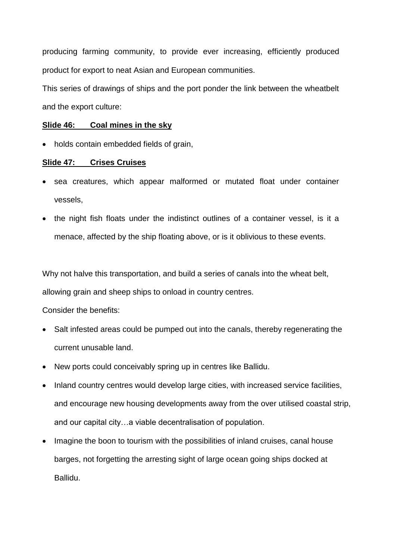producing farming community, to provide ever increasing, efficiently produced product for export to neat Asian and European communities.

This series of drawings of ships and the port ponder the link between the wheatbelt and the export culture:

## **Slide 46: Coal mines in the sky**

• holds contain embedded fields of grain,

## **Slide 47: Crises Cruises**

- sea creatures, which appear malformed or mutated float under container vessels,
- the night fish floats under the indistinct outlines of a container vessel, is it a menace, affected by the ship floating above, or is it oblivious to these events.

Why not halve this transportation, and build a series of canals into the wheat belt,

allowing grain and sheep ships to onload in country centres.

Consider the benefits:

- Salt infested areas could be pumped out into the canals, thereby regenerating the current unusable land.
- New ports could conceivably spring up in centres like Ballidu.
- Inland country centres would develop large cities, with increased service facilities, and encourage new housing developments away from the over utilised coastal strip, and our capital city…a viable decentralisation of population.
- Imagine the boon to tourism with the possibilities of inland cruises, canal house barges, not forgetting the arresting sight of large ocean going ships docked at Ballidu.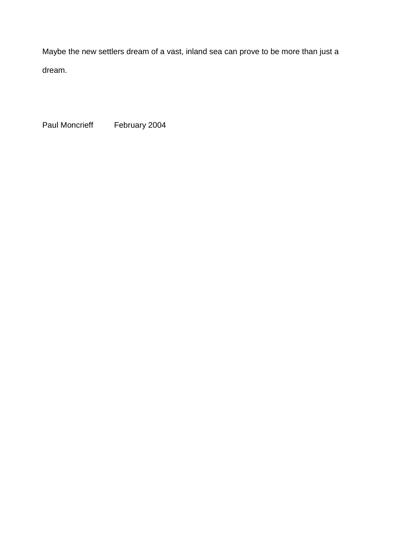Maybe the new settlers dream of a vast, inland sea can prove to be more than just a dream.

Paul Moncrieff February 2004